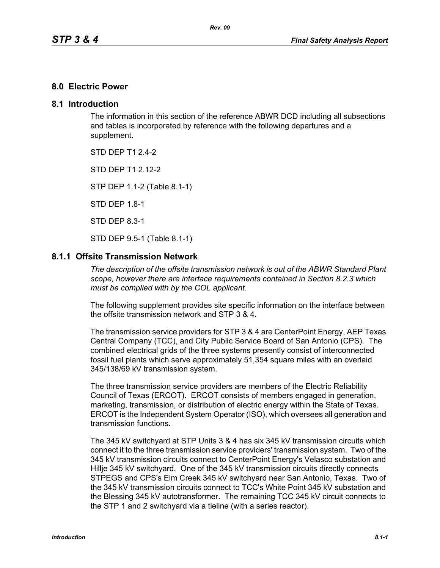### **8.0 Electric Power**

### **8.1 Introduction**

The information in this section of the reference ABWR DCD including all subsections and tables is incorporated by reference with the following departures and a supplement.

STD DFP T1 2 4-2

STD DFP T1 2 12-2

STP DEP 1.1-2 (Table 8.1-1)

STD DEP 1.8-1

STD DEP 8.3-1

STD DEP 9.5-1 (Table 8.1-1)

### **8.1.1 Offsite Transmission Network**

*The description of the offsite transmission network is out of the ABWR Standard Plant scope, however there are interface requirements contained in Section 8.2.3 which must be complied with by the COL applicant.* 

The following supplement provides site specific information on the interface between the offsite transmission network and STP 3 & 4.

The transmission service providers for STP 3 & 4 are CenterPoint Energy, AEP Texas Central Company (TCC), and City Public Service Board of San Antonio (CPS). The combined electrical grids of the three systems presently consist of interconnected fossil fuel plants which serve approximately 51,354 square miles with an overlaid 345/138/69 kV transmission system.

The three transmission service providers are members of the Electric Reliability Council of Texas (ERCOT). ERCOT consists of members engaged in generation, marketing, transmission, or distribution of electric energy within the State of Texas. ERCOT is the Independent System Operator (ISO), which oversees all generation and transmission functions.

The 345 kV switchyard at STP Units 3 & 4 has six 345 kV transmission circuits which connect it to the three transmission service providers' transmission system. Two of the 345 kV transmission circuits connect to CenterPoint Energy's Velasco substation and Hillje 345 kV switchyard. One of the 345 kV transmission circuits directly connects STPEGS and CPS's Elm Creek 345 kV switchyard near San Antonio, Texas. Two of the 345 kV transmission circuits connect to TCC's White Point 345 kV substation and the Blessing 345 kV autotransformer. The remaining TCC 345 kV circuit connects to the STP 1 and 2 switchyard via a tieline (with a series reactor).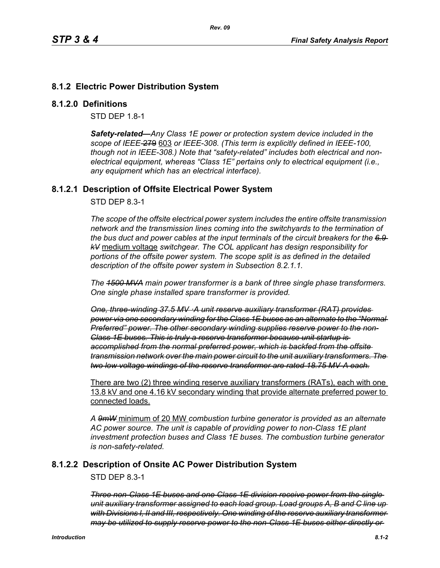# **8.1.2 Electric Power Distribution System**

### **8.1.2.0 Definitions**

STD DEP 1.8-1

*Safety-related—Any Class 1E power or protection system device included in the scope of IEEE-*279 603 *or IEEE-308. (This term is explicitly defined in IEEE-100, though not in IEEE-308.) Note that "safety-related" includes both electrical and nonelectrical equipment, whereas "Class 1E" pertains only to electrical equipment (i.e., any equipment which has an electrical interface).*

## **8.1.2.1 Description of Offsite Electrical Power System**

STD DEP 8.3-1

*The scope of the offsite electrical power system includes the entire offsite transmission network and the transmission lines coming into the switchyards to the termination of the bus duct and power cables at the input terminals of the circuit breakers for the 6.9 kV* medium voltage *switchgear. The COL applicant has design responsibility for portions of the offsite power system. The scope split is as defined in the detailed description of the offsite power system in Subsection 8.2.1.1.*

*The 1500 MVA main power transformer is a bank of three single phase transformers. One single phase installed spare transformer is provided.*

*One, three-winding 37.5 MV ·A unit reserve auxiliary transformer (RAT) provides power via one secondary winding for the Class 1E buses as an alternate to the "Normal Preferred" power. The other secondary winding supplies reserve power to the non-Class 1E buses. This is truly a reserve transformer because unit startup is accomplished from the normal preferred power, which is backfed from the offsite transmission network over the main power circuit to the unit auxiliary transformers. The two low voltage windings of the reserve transformer are rated 18.75 MV-A each.*

There are two (2) three winding reserve auxiliary transformers (RATs), each with one 13.8 kV and one 4.16 kV secondary winding that provide alternate preferred power to connected loads.

*A 9mW* minimum of 20 MW *combustion turbine generator is provided as an alternate AC power source. The unit is capable of providing power to non-Class 1E plant investment protection buses and Class 1E buses. The combustion turbine generator is non-safety-related.*

## **8.1.2.2 Description of Onsite AC Power Distribution System**

STD DEP 8.3-1

*Three non-Class 1E buses and one Class 1E division receive power from the single unit auxiliary transformer assigned to each load group. Load groups A, B and C line up with Divisions I, II and III, respectively. One winding of the reserve auxiliary transformer may be utilized to supply reserve power to the non-Class 1E buses either directly or*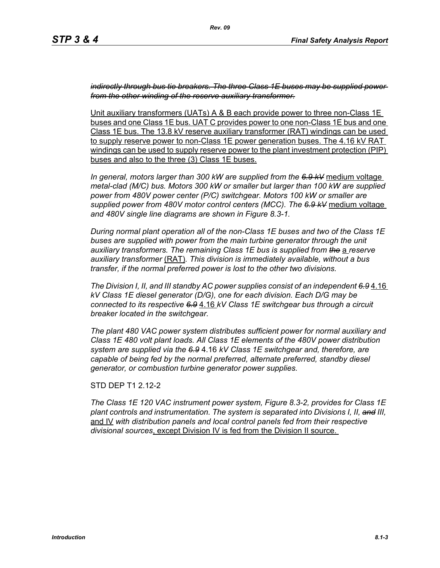*indirectly through bus tie breakers. The three Class 1E buses may be supplied power from the other winding of the reserve auxiliary transformer.*

Unit auxiliary transformers (UATs) A & B each provide power to three non-Class 1E buses and one Class 1E bus. UAT C provides power to one non-Class 1E bus and one Class 1E bus. The 13.8 kV reserve auxiliary transformer (RAT) windings can be used to supply reserve power to non-Class 1E power generation buses. The 4.16 kV RAT windings can be used to supply reserve power to the plant investment protection (PIP) buses and also to the three (3) Class 1E buses.

*In general, motors larger than 300 kW are supplied from the 6.9 kV* medium voltage *metal-clad (M/C) bus. Motors 300 kW or smaller but larger than 100 kW are supplied power from 480V power center (P/C) switchgear. Motors 100 kW or smaller are supplied power from 480V motor control centers (MCC). The 6.9 kV* medium voltage *and 480V single line diagrams are shown in Figure 8.3-1.*

*During normal plant operation all of the non-Class 1E buses and two of the Class 1E*  buses are supplied with power from the main turbine generator through the unit *auxiliary transformers. The remaining Class 1E bus is supplied from the* a *reserve auxiliary transformer* (RAT)*. This division is immediately available, without a bus transfer, if the normal preferred power is lost to the other two divisions.*

*The Division I, II, and III standby AC power supplies consist of an independent 6.9* 4.16 *kV Class 1E diesel generator (D/G), one for each division. Each D/G may be connected to its respective 6.9* 4.16 *kV Class 1E switchgear bus through a circuit breaker located in the switchgear.*

*The plant 480 VAC power system distributes sufficient power for normal auxiliary and Class 1E 480 volt plant loads. All Class 1E elements of the 480V power distribution system are supplied via the 6.9* 4.16 *kV Class 1E switchgear and, therefore, are capable of being fed by the normal preferred, alternate preferred, standby diesel generator, or combustion turbine generator power supplies.*

STD DEP T1 2.12-2

*The Class 1E 120 VAC instrument power system, Figure 8.3-2, provides for Class 1E plant controls and instrumentation. The system is separated into Divisions I, II, and III,* and IV *with distribution panels and local control panels fed from their respective divisional sources*, except Division IV is fed from the Division II source.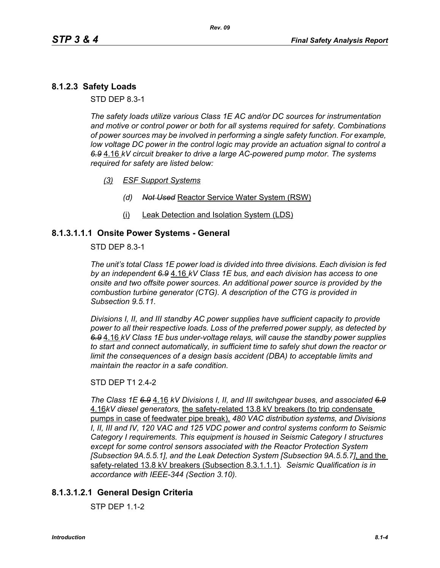# **8.1.2.3 Safety Loads**

STD DEP 8.3-1

*The safety loads utilize various Class 1E AC and/or DC sources for instrumentation and motive or control power or both for all systems required for safety. Combinations of power sources may be involved in performing a single safety function. For example, low voltage DC power in the control logic may provide an actuation signal to control a 6.9* 4.16 *kV circuit breaker to drive a large AC-powered pump motor. The systems required for safety are listed below:*

- *(3) ESF Support Systems*
	- *(d) Not Used* Reactor Service Water System (RSW)
	- (i) Leak Detection and Isolation System (LDS)

## **8.1.3.1.1.1 Onsite Power Systems - General**

STD DEP 8.3-1

*The unit's total Class 1E power load is divided into three divisions. Each division is fed by an independent 6.9* 4.16 *kV Class 1E bus, and each division has access to one onsite and two offsite power sources. An additional power source is provided by the combustion turbine generator (CTG). A description of the CTG is provided in Subsection 9.5.11.*

*Divisions I, II, and III standby AC power supplies have sufficient capacity to provide power to all their respective loads. Loss of the preferred power supply, as detected by 6.9* 4.16 *kV Class 1E bus under-voltage relays, will cause the standby power supplies to start and connect automatically, in sufficient time to safely shut down the reactor or limit the consequences of a design basis accident (DBA) to acceptable limits and maintain the reactor in a safe condition.*

### STD DEP T1 2.4-2

*The Class 1E 6.9* 4.16 *kV Divisions I, II, and III switchgear buses, and associated 6.9* 4.16*kV diesel generators,* the safety-related 13.8 kV breakers (to trip condensate pumps in case of feedwater pipe break), *480 VAC distribution systems, and Divisions I, II, III and IV, 120 VAC and 125 VDC power and control systems conform to Seismic Category I requirements. This equipment is housed in Seismic Category I structures except for some control sensors associated with the Reactor Protection System [Subsection 9A.5.5.1], and the Leak Detection System [Subsection 9A.5.5.7]*, and the safety-related 13.8 kV breakers (Subsection 8.3.1.1.1)*. Seismic Qualification is in accordance with IEEE-344 (Section 3.10).*

## **8.1.3.1.2.1 General Design Criteria**

STP DEP 1.1-2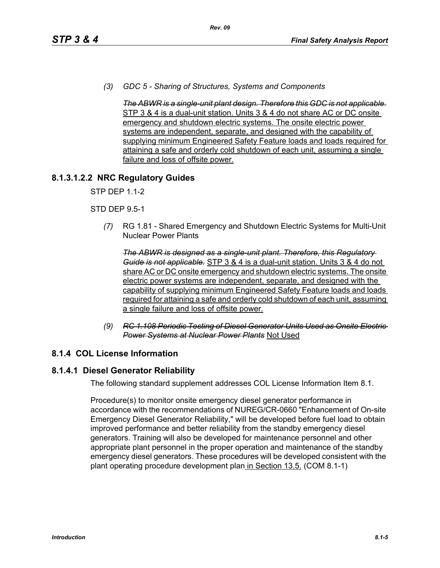*(3) GDC 5 - Sharing of Structures, Systems and Components* 

*The ABWR is a single-unit plant design. Therefore this GDC is not applicable.* STP 3 & 4 is a dual-unit station. Units 3 & 4 do not share AC or DC onsite emergency and shutdown electric systems. The onsite electric power systems are independent, separate, and designed with the capability of supplying minimum Engineered Safety Feature loads and loads required for attaining a safe and orderly cold shutdown of each unit, assuming a single failure and loss of offsite power.

## **8.1.3.1.2.2 NRC Regulatory Guides**

STP DEP 1.1-2

### STD DEP 9.5-1

*(7)* RG 1.81 - Shared Emergency and Shutdown Electric Systems for Multi-Unit Nuclear Power Plants

*The ABWR is designed as a single-unit plant. Therefore, this Regulatory Guide is not applicable.* STP 3 & 4 is a dual-unit station. Units 3 & 4 do not share AC or DC onsite emergency and shutdown electric systems. The onsite electric power systems are independent, separate, and designed with the capability of supplying minimum Engineered Safety Feature loads and loads required for attaining a safe and orderly cold shutdown of each unit, assuming a single failure and loss of offsite power.

*(9) RC 1.108 Periodic Testing of Diesel Generator Units Used as Onsite Electric Power Systems at Nuclear Power Plants* Not Used

## **8.1.4 COL License Information**

## **8.1.4.1 Diesel Generator Reliability**

The following standard supplement addresses COL License Information Item 8.1.

Procedure(s) to monitor onsite emergency diesel generator performance in accordance with the recommendations of NUREG/CR-0660 "Enhancement of On-site Emergency Diesel Generator Reliability," will be developed before fuel load to obtain improved performance and better reliability from the standby emergency diesel generators. Training will also be developed for maintenance personnel and other appropriate plant personnel in the proper operation and maintenance of the standby emergency diesel generators. These procedures will be developed consistent with the plant operating procedure development plan in Section 13.5. (COM 8.1-1)